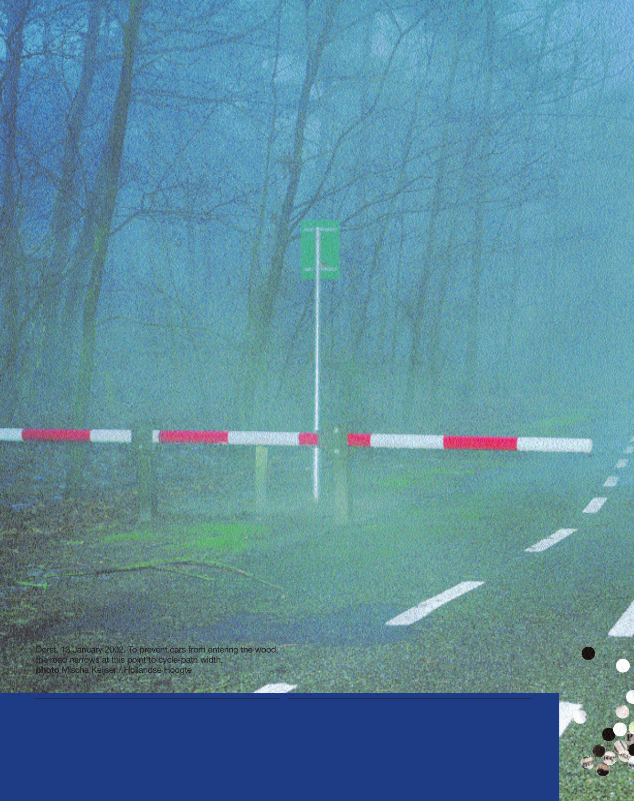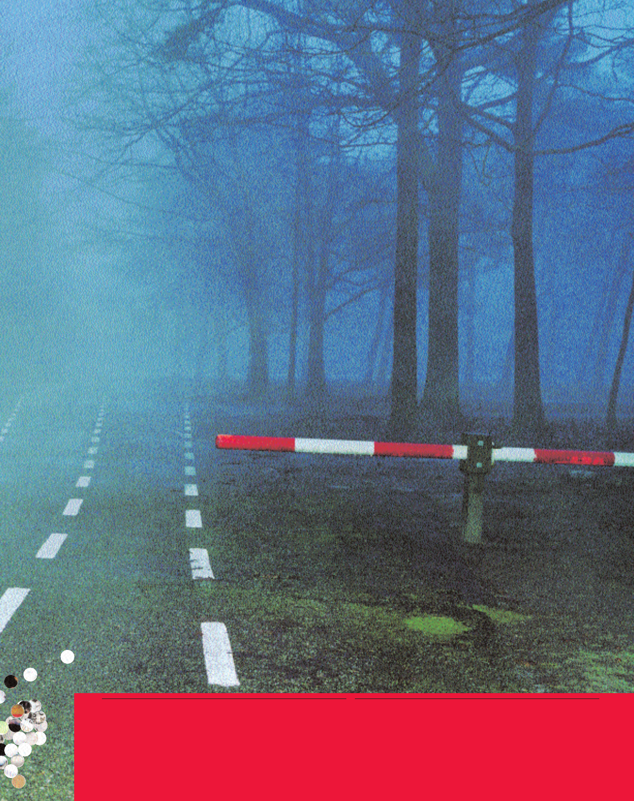